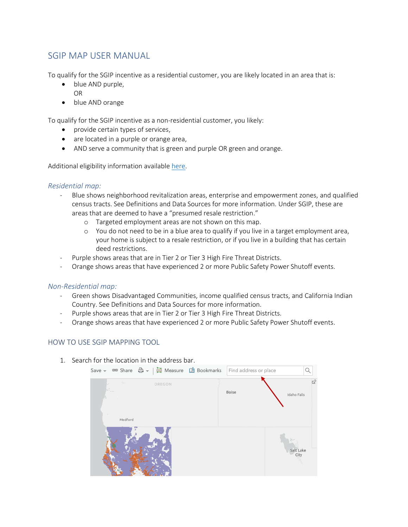## SGIP MAP USER MANUAL

To qualify for the SGIP incentive as a residential customer, you are likely located in an area that is:

- blue AND purple, OR
- blue AND orange

To qualify for the SGIP incentive as a non-residential customer, you likely:

- provide certain types of services,
- are located in a purple or orange area,
- AND serve a community that is green and purple OR green and orange.

Additional eligibility information availabl[e here.](https://www.cpuc.ca.gov/sgipinfo/)

## *Residential map:*

- Blue shows neighborhood revitalization areas, enterprise and empowerment zones, and qualified census tracts. See Definitions and Data Sources for more information. Under SGIP, these are areas that are deemed to have a "presumed resale restriction."
	- o Targeted employment areas are not shown on this map.
	- o You do not need to be in a blue area to qualify if you live in a target employment area, your home is subject to a resale restriction, or if you live in a building that has certain deed restrictions.
- Purple shows areas that are in Tier 2 or Tier 3 High Fire Threat Districts.
- Orange shows areas that have experienced 2 or more Public Safety Power Shutoff events.

## *Non-Residential map:*

- Green shows Disadvantaged Communities, income qualified census tracts, and California Indian Country. See Definitions and Data Sources for more information.
- Purple shows areas that are in Tier 2 or Tier 3 High Fire Threat Districts.
- Orange shows areas that have experienced 2 or more Public Safety Power Shutoff events.

## HOW TO USE SGIP MAPPING TOOL

1. Search for the location in the address bar.

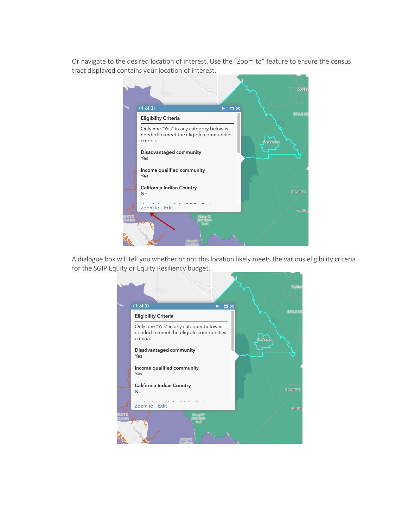Or navigate to the desired location of interest. Use the "Zoom to" feature to ensure the census tract displayed contains your location of interest.



A dialogue box will tell you whether or not this location likely meets the various eligibility criteria for the SGIP Equity or Equity Resiliency budget.

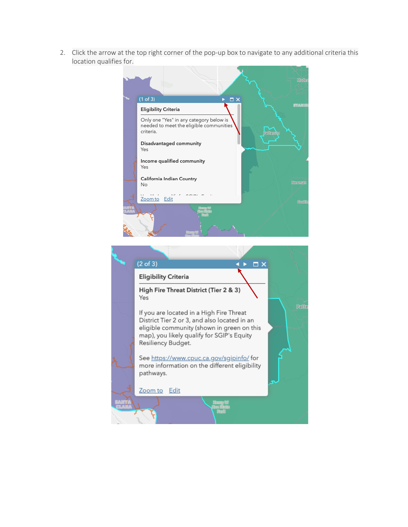2. Click the arrow at the top right corner of the pop-up box to navigate to any additional criteria this location qualifies for.



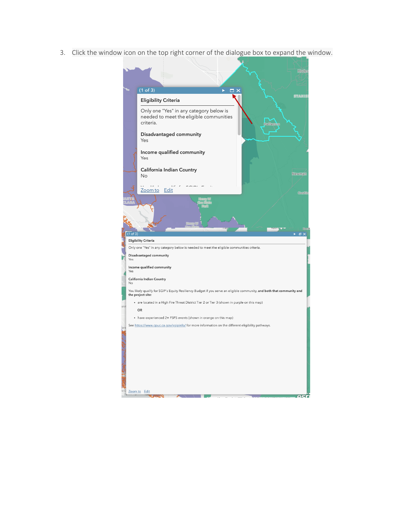3. Click the window icon on the top right corner of the dialogue box to expand the window.

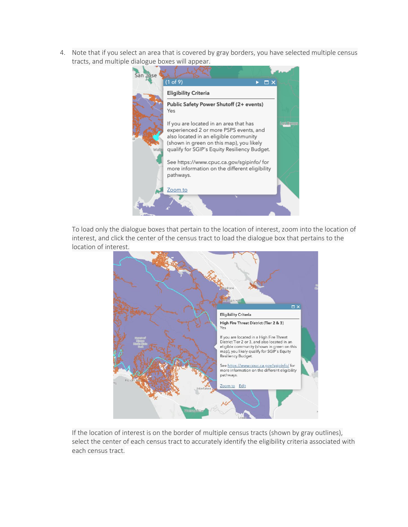4. Note that if you select an area that is covered by gray borders, you have selected multiple census tracts, and multiple dialogue boxes will appear.



To load only the dialogue boxes that pertain to the location of interest, zoom into the location of interest, and click the center of the census tract to load the dialogue box that pertains to the location of interest.



If the location of interest is on the border of multiple census tracts (shown by gray outlines), select the center of each census tract to accurately identify the eligibility criteria associated with each census tract.